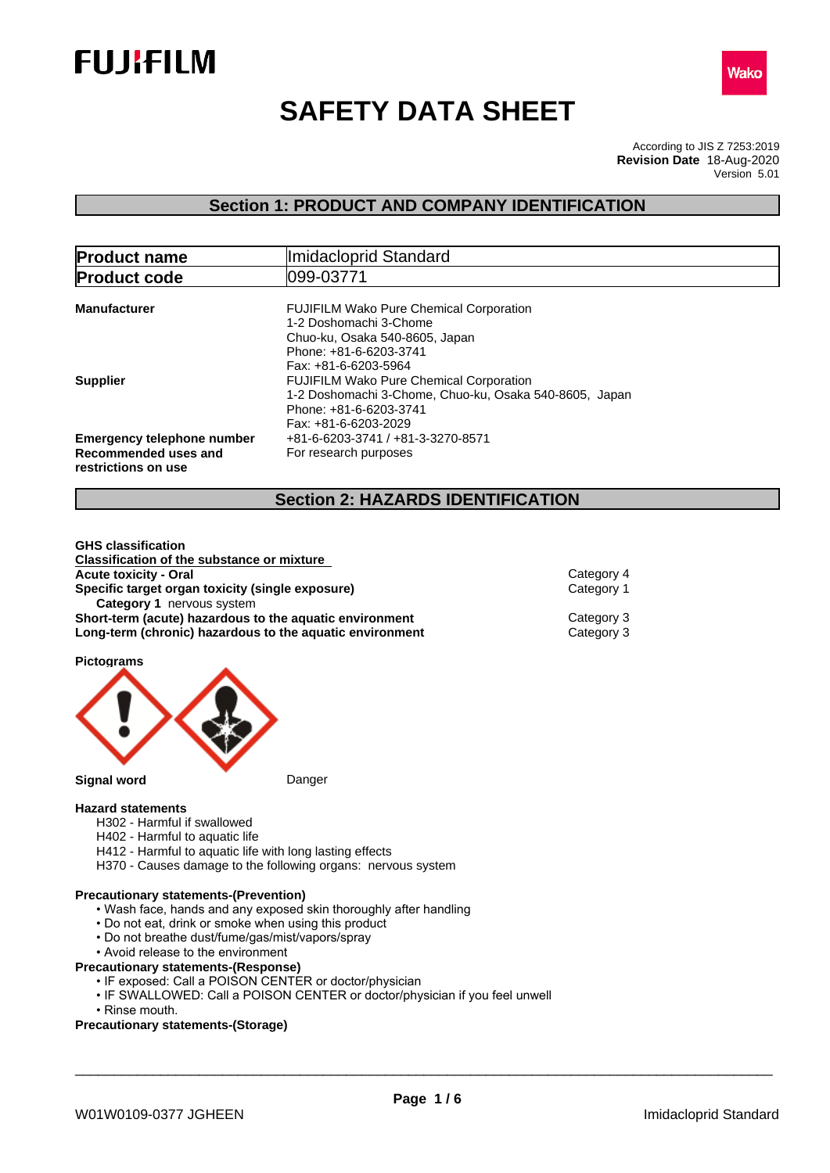



# **SAFETY DATA SHEET**

According to JIS Z 7253:2019 Version 5.01 **Revision Date** 18-Aug-2020

## **Section 1: PRODUCT AND COMPANY IDENTIFICATION**

| <b>Product name</b>                                                              | Imidacloprid Standard                                                                                                                                        |  |  |
|----------------------------------------------------------------------------------|--------------------------------------------------------------------------------------------------------------------------------------------------------------|--|--|
| <b>Product code</b>                                                              | 099-03771                                                                                                                                                    |  |  |
| <b>Manufacturer</b>                                                              | <b>FUJIFILM Wako Pure Chemical Corporation</b><br>1-2 Doshomachi 3-Chome<br>Chuo-ku, Osaka 540-8605, Japan<br>Phone: +81-6-6203-3741<br>Fax: +81-6-6203-5964 |  |  |
| <b>Supplier</b>                                                                  | <b>FUJIFILM Wako Pure Chemical Corporation</b><br>1-2 Doshomachi 3-Chome, Chuo-ku, Osaka 540-8605, Japan<br>Phone: +81-6-6203-3741<br>Fax: +81-6-6203-2029   |  |  |
| <b>Emergency telephone number</b><br>Recommended uses and<br>restrictions on use | +81-6-6203-3741 / +81-3-3270-8571<br>For research purposes                                                                                                   |  |  |

## **Section 2: HAZARDS IDENTIFICATION**

| <b>Classification of the substance or mixture</b>        |            |  |
|----------------------------------------------------------|------------|--|
| <b>Acute toxicity - Oral</b>                             | Category 4 |  |
| Specific target organ toxicity (single exposure)         | Category 1 |  |
| <b>Category 1 nervous system</b>                         |            |  |
| Short-term (acute) hazardous to the aquatic environment  | Category 3 |  |
| Long-term (chronic) hazardous to the aquatic environment | Category 3 |  |
|                                                          |            |  |

**Pictograms**

**GHS classification**



## **Hazard statements**

- H302 Harmful if swallowed
- H402 Harmful to aquatic life
- H412 Harmful to aquatic life with long lasting effects
- H370 Causes damage to the following organs: nervous system

## **Precautionary statements-(Prevention)**

- Wash face, hands and any exposed skin thoroughly after handling
- Do not eat, drink or smoke when using this product
- Do not breathe dust/fume/gas/mist/vapors/spray
- Avoid release to the environment

## **Precautionary statements-(Response)**

- IF exposed: Call a POISON CENTER or doctor/physician
- IF SWALLOWED: Call a POISON CENTER or doctor/physician if you feel unwell
- Rinse mouth.

## **Precautionary statements-(Storage)**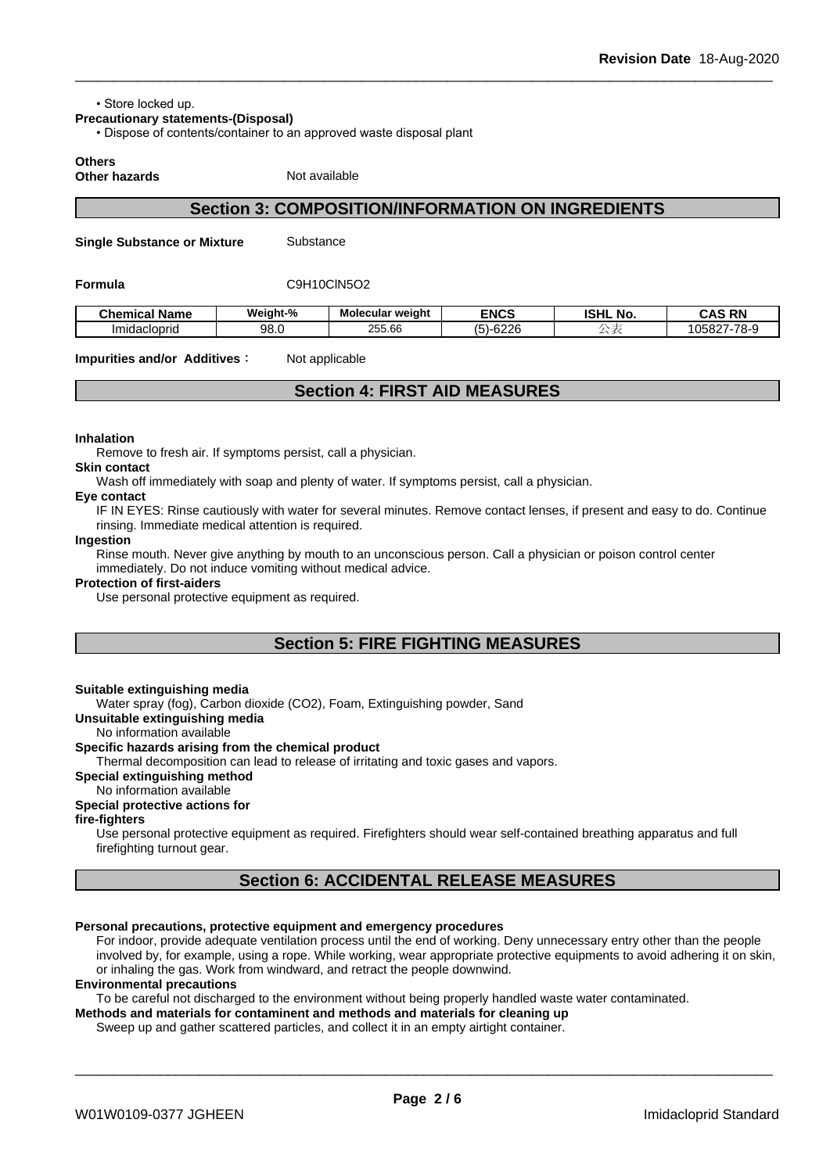• Store locked up.

**Precautionary statements-(Disposal)**

• Dispose of contents/container to an approved waste disposal plant

**Others**

**Other hazards** Not available

## **Section 3: COMPOSITION/INFORMATION ON INGREDIENTS**

**Single Substance or Mixture** Substance

#### **Formula** C9H10ClN5O2

| Chemical<br>⊺Name | Weight-%    | <br><b>Molecular weight</b> | <b>ENCS</b>                         | <b>ISHL</b><br>. No. | <b>CAS RN</b><br>CAS<br>-n |
|-------------------|-------------|-----------------------------|-------------------------------------|----------------------|----------------------------|
| Imidacioprio      | QR.<br>oo.u | 255.66                      | 0000<br>$\epsilon$<br>ס-וכ<br>'∪∠∠u |                      | 105827-78-9                |

**Impurities and/or Additives:** Not applicable

## **Section 4: FIRST AID MEASURES**

## **Inhalation**

Remove to fresh air. If symptoms persist, call a physician.

#### **Skin contact**

Wash off immediately with soap and plenty of water. If symptoms persist, calla physician.

#### **Eye contact**

IF IN EYES: Rinse cautiously with water for several minutes. Remove contact lenses, if present and easy to do. Continue rinsing. Immediate medical attention is required.

#### **Ingestion**

Rinse mouth. Never give anything by mouth to an unconscious person. Call a physician or poison control center immediately. Do not induce vomiting without medical advice.

#### **Protection of first-aiders**

Use personal protective equipment as required.

## **Section 5: FIRE FIGHTING MEASURES**

## **Suitable extinguishing media**

Water spray (fog), Carbon dioxide (CO2), Foam, Extinguishing powder, Sand

#### **Unsuitable extinguishing media**

No information available

## **Specific hazards arising from the chemical product**

Thermal decomposition can lead to release of irritating and toxic gases and vapors.

## **Special extinguishing method**

## No information available

## **Special protective actions for**

## **fire-fighters**

Use personal protective equipment as required.Firefighters should wear self-contained breathing apparatus and full firefighting turnout gear.

## **Section 6: ACCIDENTAL RELEASE MEASURES**

## **Personal precautions, protective equipment and emergency procedures**

For indoor, provide adequate ventilation process until the end of working. Deny unnecessary entry other than the people involved by, for example, using a rope. While working, wear appropriate protective equipments to avoid adhering it on skin, or inhaling the gas. Work from windward, and retract the people downwind.

## **Environmental precautions**

To be careful not discharged to the environment without being properly handled waste water contaminated.

**Methods and materials for contaminent and methods and materials for cleaning up**

Sweep up and gather scattered particles, and collect it in an empty airtight container.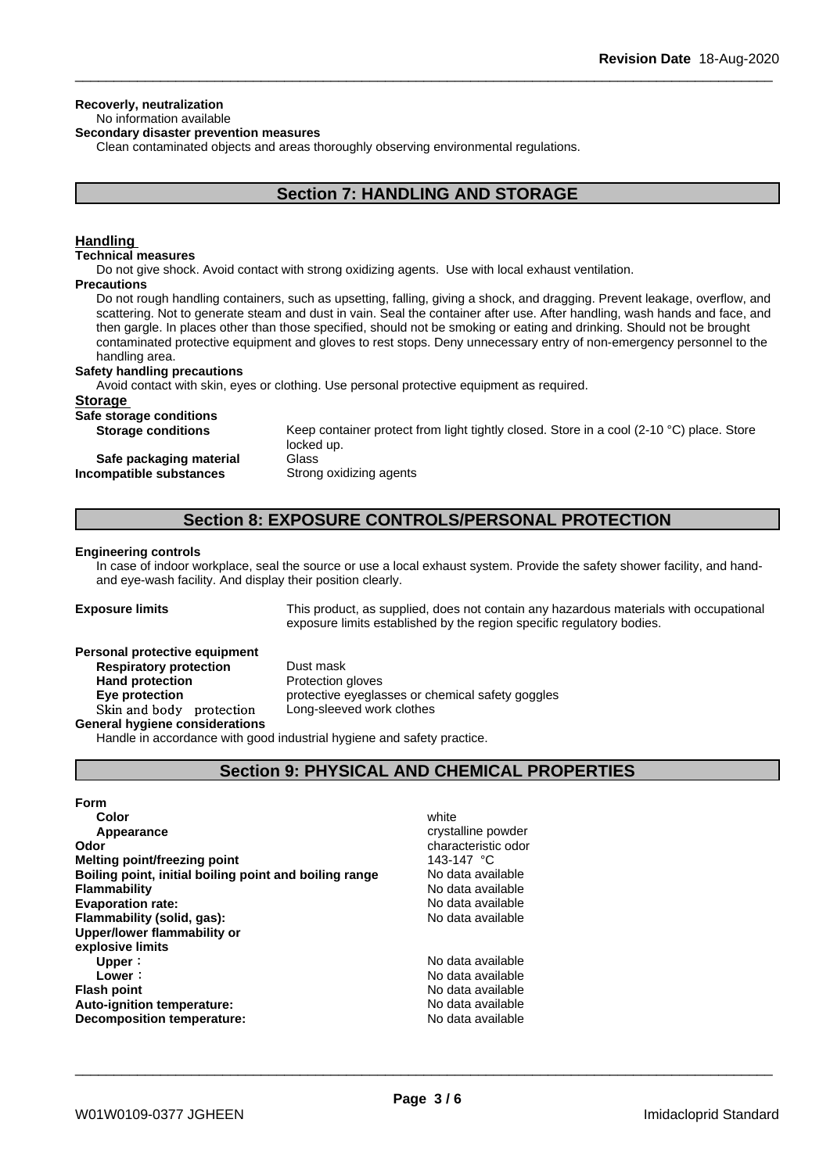## **Recoverly, neutralization**

## No information available

**Secondary disaster prevention measures**

Clean contaminated objects and areas thoroughly observing environmental regulations.

## **Section 7: HANDLING AND STORAGE**

## **Handling**

#### **Technical measures**

Do not give shock. Avoid contact with strong oxidizing agents. Use with local exhaust ventilation.

## **Precautions**

Do not rough handling containers, such as upsetting, falling, giving a shock, and dragging. Prevent leakage, overflow, and scattering. Not to generate steam and dust in vain. Seal the container after use. After handling, wash hands and face, and then gargle. In places other than those specified, should not be smoking or eating and drinking. Should not be brought contaminated protective equipment and gloves to rest stops. Deny unnecessary entry of non-emergency personnel to the handling area.

#### **Safety handling precautions**

Avoid contact with skin, eyes or clothing. Use personal protective equipment as required.

## **Storage**

| Safe storage conditions   |                                                                                                    |
|---------------------------|----------------------------------------------------------------------------------------------------|
| <b>Storage conditions</b> | Keep container protect from light tightly closed. Store in a cool (2-10 $^{\circ}$ C) place. Store |
|                           | locked up.                                                                                         |
| Safe packaging material   | Glass                                                                                              |
| Incompatible substances   | Strong oxidizing agents                                                                            |

## **Section 8: EXPOSURE CONTROLS/PERSONAL PROTECTION**

#### **Engineering controls**

In case of indoor workplace, seal the source or use a local exhaust system. Provide the safety shower facility, and handand eye-wash facility. And display their position clearly.

**Exposure limits** This product, as supplied, does not contain any hazardous materials with occupational exposure limits established by the region specific regulatory bodies.

#### **Personal protective equipment**

**Respiratory protection** Dust mask **Hand protection** Protection gloves **Skinandbody protection** Long-sleeved work clothes **General hygiene considerations**

**Eye protection Exercise** protective eyeglasses or chemical safety goggles

Handle in accordance with good industrial hygiene and safety practice.

## **Section 9: PHYSICAL AND CHEMICAL PROPERTIES**

## **Form**

| Color                                                  | white               |
|--------------------------------------------------------|---------------------|
| Appearance                                             | crystalline powder  |
| Odor                                                   | characteristic odor |
| Melting point/freezing point                           | 143-147 °C          |
| Boiling point, initial boiling point and boiling range | No data available   |
| <b>Flammability</b>                                    | No data available   |
| <b>Evaporation rate:</b>                               | No data available   |
| Flammability (solid, gas):                             | No data available   |
| Upper/lower flammability or                            |                     |
| explosive limits                                       |                     |
| Upper:                                                 | No data available   |
| Lower:                                                 | No data available   |
| <b>Flash point</b>                                     | No data available   |
| Auto-ignition temperature:                             | No data available   |
| Decomposition temperature:                             | No data available   |
|                                                        |                     |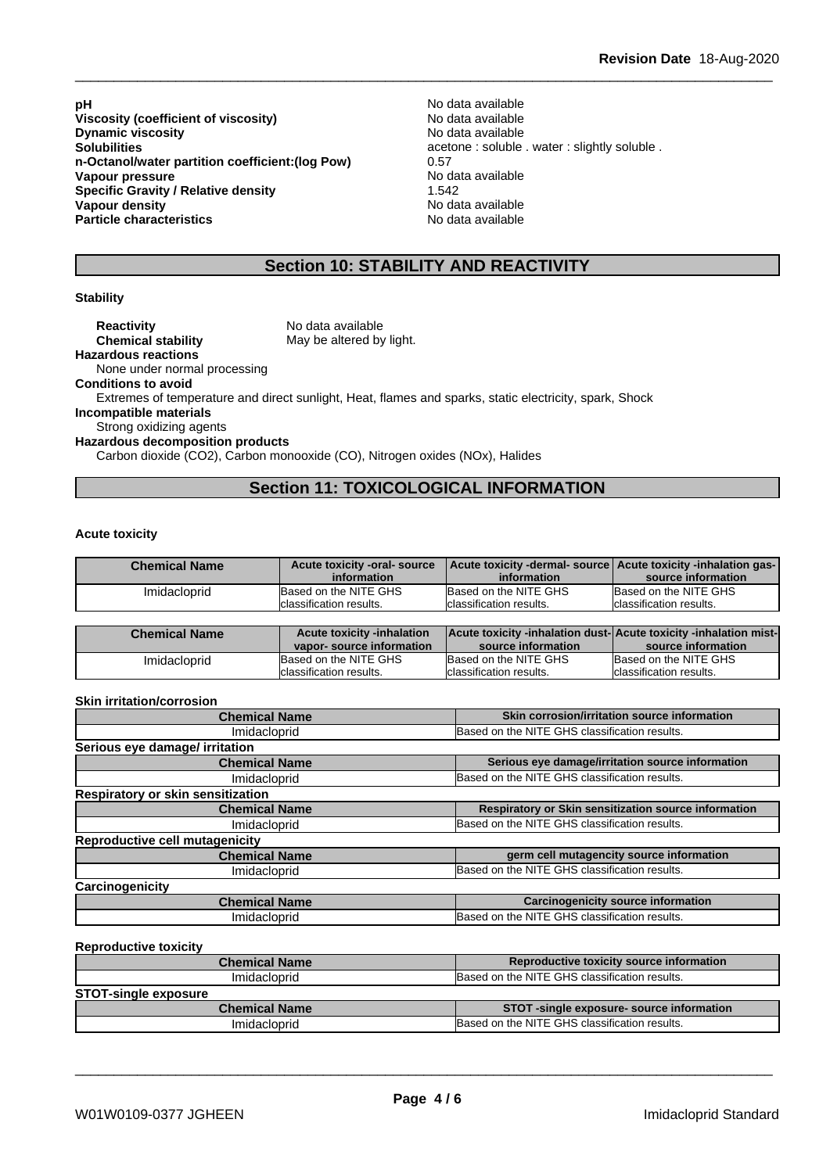**pH**<br>
Viscosity (coefficient of viscosity) Modata available<br>
Viscosity (coefficient of viscosity) Modata available **Viscosity (coefficient of viscosity)** No data available<br> **Dynamic viscosity Dynamic viscosity Dynamic** viscosity **Solubilities**<br> **n-Octanol/water partition coefficient: (log Pow)** acetone : soluble . water : slightly soluble .<br>
0.57 **n-Octanol/water partition coefficient:(log Pow)** 0.57 **Vapour pressure Specific Gravity / Relative density** 1.542<br> **Vapour density** 1.542 **Vapour density Particle characteristics** No data available

## **Section 10: STABILITY AND REACTIVITY**

## **Stability**

**Reactivity** No data available **Chemical stability** May be altered by light. **Hazardous reactions**

None under normal processing **Conditions to avoid**

Extremes of temperature and direct sunlight, Heat, flames and sparks, static electricity, spark, Shock

**Incompatible materials**

Strong oxidizing agents

**Hazardous decomposition products**

Carbon dioxide (CO2), Carbon monooxide (CO), Nitrogen oxides (NOx), Halides

## **Section 11: TOXICOLOGICAL INFORMATION**

## **Acute toxicity**

| <b>Chemical Name</b> | Acute toxicity -oral- source | Acute toxicity -dermal- source Acute toxicity -inhalation gas- |                          |
|----------------------|------------------------------|----------------------------------------------------------------|--------------------------|
|                      | information                  | information                                                    | source information       |
| Imidacloprid         | Based on the NITE GHS        | Based on the NITE GHS                                          | Based on the NITE GHS    |
|                      | classification results.      | Iclassification results.                                       | Iclassification results. |

| <b>Chemical Name</b> | <b>Acute toxicity -inhalation</b> | <b>Acute toxicity -inhalation dust-Acute toxicity -inhalation mist-</b> |                          |
|----------------------|-----------------------------------|-------------------------------------------------------------------------|--------------------------|
|                      | vapor-source information          | source information                                                      | source information       |
| Imidacloprid         | Based on the NITE GHS             | Based on the NITE GHS                                                   | Based on the NITE GHS    |
|                      | Iclassification results.          | Iclassification results.                                                | Iclassification results. |

## **Skin irritation/corrosion**

| <b>Chemical Name</b>                  | Skin corrosion/irritation source information         |  |
|---------------------------------------|------------------------------------------------------|--|
| Imidacloprid                          | Based on the NITE GHS classification results.        |  |
| Serious eye damage/ irritation        |                                                      |  |
| <b>Chemical Name</b>                  | Serious eye damage/irritation source information     |  |
| Imidacloprid                          | Based on the NITE GHS classification results.        |  |
| Respiratory or skin sensitization     |                                                      |  |
| <b>Chemical Name</b>                  | Respiratory or Skin sensitization source information |  |
| Imidacloprid                          | Based on the NITE GHS classification results.        |  |
| <b>Reproductive cell mutagenicity</b> |                                                      |  |
| <b>Chemical Name</b>                  | germ cell mutagencity source information             |  |
| Imidacloprid                          | Based on the NITE GHS classification results.        |  |
| Carcinogenicity                       |                                                      |  |
| <b>Chemical Name</b>                  | <b>Carcinogenicity source information</b>            |  |
| Imidacloprid                          | Based on the NITE GHS classification results.        |  |

#### **Reproductive toxicity**

| <b>Chemical Name</b>        | Reproductive toxicity source information      |
|-----------------------------|-----------------------------------------------|
| Imidacloprid                | Based on the NITE GHS classification results. |
| <b>STOT-single exposure</b> |                                               |
| <b>Chemical Name</b>        | STOT-single exposure- source information      |
| Imidacloprid                | Based on the NITE GHS classification results. |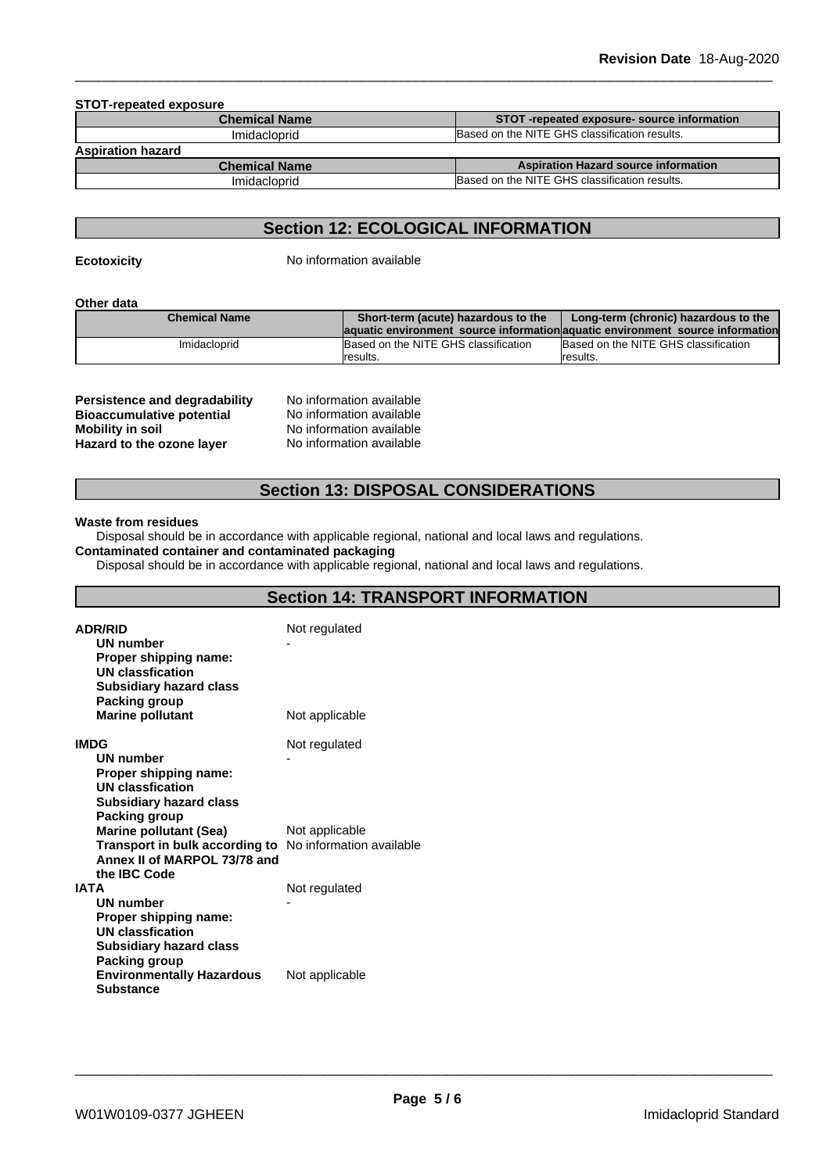| STOT-repeated exposure-source information     |
|-----------------------------------------------|
| Based on the NITE GHS classification results. |
|                                               |
| <b>Aspiration Hazard source information</b>   |
| Based on the NITE GHS classification results. |
|                                               |

## **Section 12: ECOLOGICAL INFORMATION**

**Ecotoxicity** No information available

**Other data**

| <b>Chemical Name</b> | Short-term (acute) hazardous to the  | Long-term (chronic) hazardous to the                                           |
|----------------------|--------------------------------------|--------------------------------------------------------------------------------|
|                      |                                      | laquatic environment source information aquatic environment source information |
| Imidacloprid         | Based on the NITE GHS classification | Based on the NITE GHS classification                                           |
|                      | results.                             | Iresults.                                                                      |

| No information available |
|--------------------------|
| No information available |
| No information available |
| No information available |
|                          |

## **Section 13: DISPOSAL CONSIDERATIONS**

#### **Waste from residues**

Disposal should be in accordance with applicable regional, national and local laws and regulations. **Contaminated container and contaminated packaging**

Disposal should be in accordance with applicable regional, national and local laws and regulations.

| <b>ADR/RID</b><br>UN number<br>Proper shipping name:<br><b>UN classfication</b><br><b>Subsidiary hazard class</b><br>Packing group                        | Not regulated  |
|-----------------------------------------------------------------------------------------------------------------------------------------------------------|----------------|
| <b>Marine pollutant</b>                                                                                                                                   | Not applicable |
| <b>IMDG</b><br><b>UN number</b><br>Proper shipping name:<br><b>UN classfication</b><br><b>Subsidiary hazard class</b>                                     | Not regulated  |
| Packing group<br><b>Marine pollutant (Sea)</b><br>Transport in bulk according to No information available<br>Annex II of MARPOL 73/78 and<br>the IBC Code | Not applicable |
| <b>IATA</b><br><b>UN number</b><br>Proper shipping name:<br><b>UN classfication</b><br><b>Subsidiary hazard class</b><br>Packing group                    | Not regulated  |
| <b>Environmentally Hazardous</b><br><b>Substance</b>                                                                                                      | Not applicable |